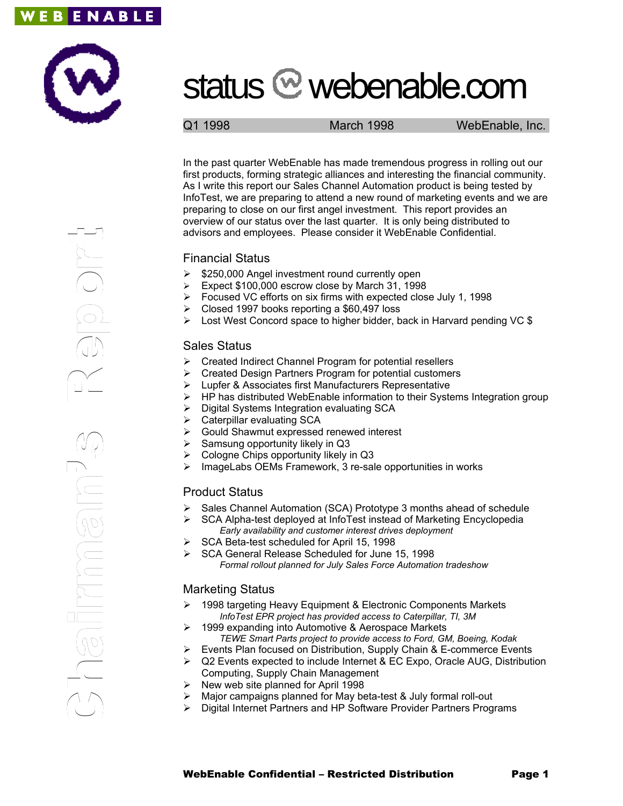



# status <sup>@</sup> webenable.com

Q1 1998 March 1998 WebEnable, Inc.

In the past quarter WebEnable has made tremendous progress in rolling out our first products, forming strategic alliances and interesting the financial community. As I write this report our Sales Channel Automation product is being tested by InfoTest, we are preparing to attend a new round of marketing events and we are preparing to close on our first angel investment. This report provides an overview of our status over the last quarter. It is only being distributed to advisors and employees. Please consider it WebEnable Confidential.

### Financial Status

- $\geq$  \$250,000 Angel investment round currently open
- Expect \$100,000 escrow close by March 31, 1998
- Focused VC efforts on six firms with expected close July 1, 1998
- $\triangleright$  Closed 1997 books reporting a \$60,497 loss
- $\triangleright$  Lost West Concord space to higher bidder, back in Harvard pending VC \$

## Sales Status

- $\triangleright$  Created Indirect Channel Program for potential resellers
- Created Design Partners Program for potential customers
- Lupfer & Associates first Manufacturers Representative
- HP has distributed WebEnable information to their Systems Integration group
- Digital Systems Integration evaluating SCA
- $\triangleright$  Caterpillar evaluating SCA
- Gould Shawmut expressed renewed interest
- Samsung opportunity likely in Q3
- Cologne Chips opportunity likely in Q3
- ImageLabs OEMs Framework, 3 re-sale opportunities in works

## Product Status

- Sales Channel Automation (SCA) Prototype 3 months ahead of schedule
- $\triangleright$  SCA Alpha-test deployed at InfoTest instead of Marketing Encyclopedia *Early availability and customer interest drives deployment*
- $\triangleright$  SCA Beta-test scheduled for April 15, 1998
- ▶ SCA General Release Scheduled for June 15, 1998 *Formal rollout planned for July Sales Force Automation tradeshow*

## Marketing Status

- 1998 targeting Heavy Equipment & Electronic Components Markets *InfoTest EPR project has provided access to Caterpillar, TI, 3M*
- 1999 expanding into Automotive & Aerospace Markets *TEWE Smart Parts project to provide access to Ford, GM, Boeing, Kodak*
- $\triangleright$  Events Plan focused on Distribution, Supply Chain & E-commerce Events
- $\triangleright$  Q2 Events expected to include Internet & EC Expo, Oracle AUG, Distribution
- Computing, Supply Chain Management
- $\triangleright$  New web site planned for April 1998
- Major campaigns planned for May beta-test & July formal roll-out
- Digital Internet Partners and HP Software Provider Partners Programs